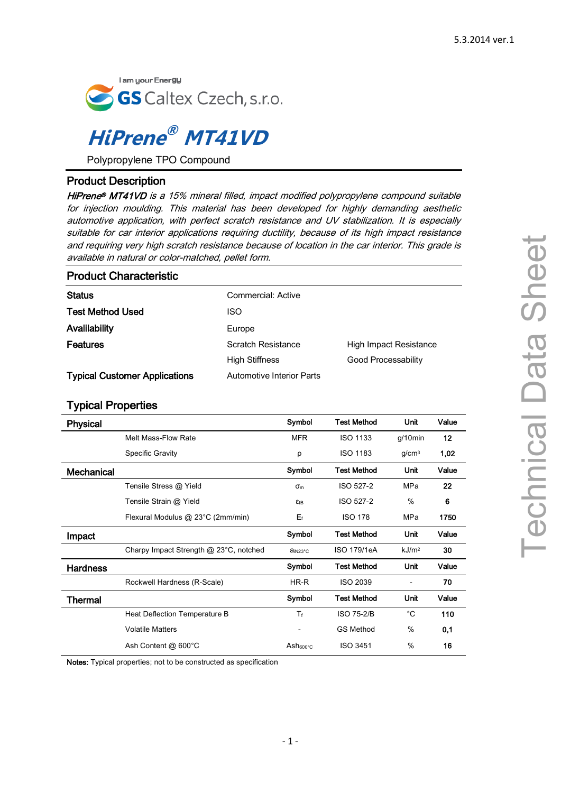

# **HiPrene ® MT41VD**

Polypropylene TPO Compound

## Product Description

HiPrene® MT41VD is a 15% mineral filled, impact modified polypropylene compound suitable for injection moulding. This material has been developed for highly demanding aesthetic automotive application, with perfect scratch resistance and UV stabilization. It is especially suitable for car interior applications requiring ductility, because of its high impact resistance and requiring very high scratch resistance because of location in the car interior. This grade is available in natural or color-matched, pellet form.

### Product Characteristic

| <b>Status</b>                        | Commercial: Active               |                            |
|--------------------------------------|----------------------------------|----------------------------|
| <b>Test Method Used</b>              | ISO                              |                            |
| Avalilability                        | Europe                           |                            |
| Features                             | Scratch Resistance               | High Impact Resistance     |
|                                      | <b>High Stiffness</b>            | <b>Good Processability</b> |
| <b>Typical Customer Applications</b> | <b>Automotive Interior Parts</b> |                            |

## Typical Properties

| <b>Physical</b>   |                                        | Symbol               | <b>Test Method</b> | Unit                     | Value |
|-------------------|----------------------------------------|----------------------|--------------------|--------------------------|-------|
|                   | Melt Mass-Flow Rate                    | <b>MFR</b>           | <b>ISO 1133</b>    | $g/10$ min               | 12    |
|                   | <b>Specific Gravity</b>                | ρ                    | <b>ISO 1183</b>    | q/cm <sup>3</sup>        | 1,02  |
| <b>Mechanical</b> |                                        | Symbol               | <b>Test Method</b> | Unit                     | Value |
|                   | Tensile Stress @ Yield                 | $\sigma_{\rm m}$     | ISO 527-2          | MPa                      | 22    |
|                   | Tensile Strain @ Yield                 | $E$ tB               | ISO 527-2          | $\%$                     | 6     |
|                   | Flexural Modulus @ 23°C (2mm/min)      | $E_f$                | <b>ISO 178</b>     | MPa                      | 1750  |
| Impact            |                                        | Symbol               | <b>Test Method</b> | Unit                     | Value |
|                   | Charpy Impact Strength @ 23°C, notched | ain23°C              | ISO 179/1eA        | kJ/m <sup>2</sup>        | 30    |
| <b>Hardness</b>   |                                        | Symbol               | <b>Test Method</b> | Unit                     | Value |
|                   | Rockwell Hardness (R-Scale)            | HR-R                 | <b>ISO 2039</b>    | $\overline{\phantom{0}}$ | 70    |
| Thermal           |                                        | Symbol               | Test Method        | Unit                     | Value |
|                   | Heat Deflection Temperature B          | $T_f$                | <b>ISO 75-2/B</b>  | $^{\circ}C$              | 110   |
|                   | <b>Volatile Matters</b>                |                      | <b>GS Method</b>   | %                        | 0,1   |
|                   | Ash Content @ 600°C                    | Ash <sub>600°C</sub> | <b>ISO 3451</b>    | $\%$                     | 16    |

Notes: Typical properties; not to be constructed as specification